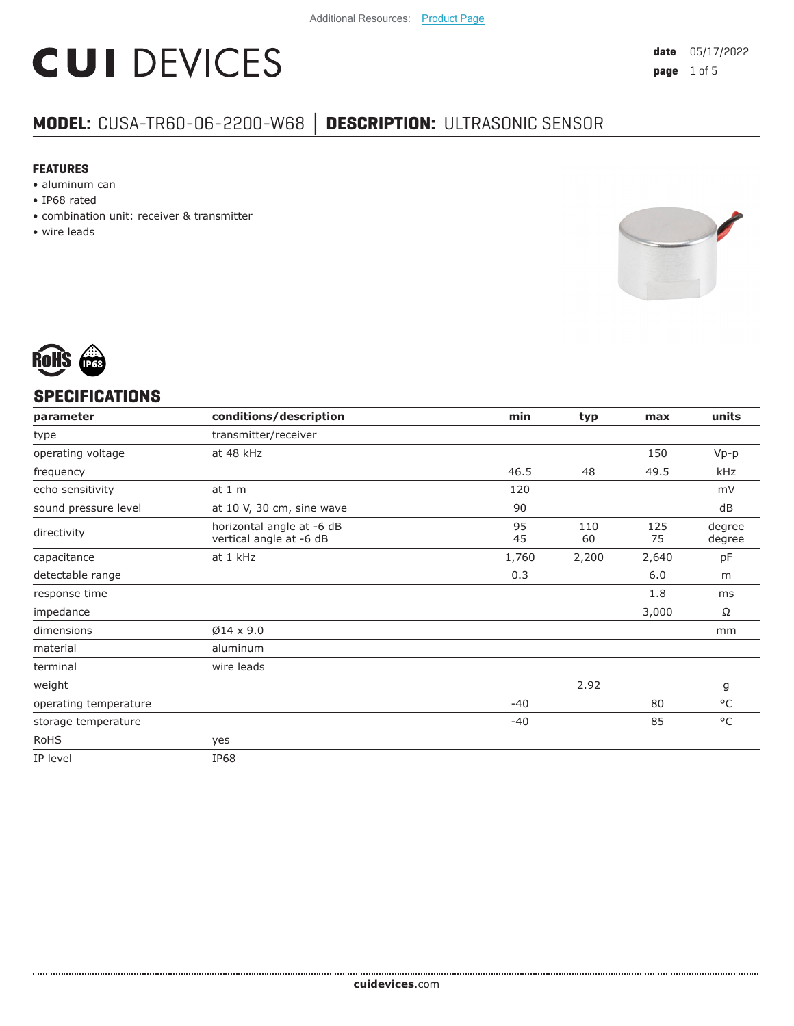# **CUI DEVICES**

### **MODEL:** CUSA-TR60-06-2200-W68 **│ DESCRIPTION:** ULTRASONIC SENSOR

#### **FEATURES**

- aluminum can
- IP68 rated
- combination unit: receiver & transmitter
- wire leads





#### **SPECIFICATIONS**

| parameter             | conditions/description                               | min      | typ       | max       | units            |
|-----------------------|------------------------------------------------------|----------|-----------|-----------|------------------|
| type                  | transmitter/receiver                                 |          |           |           |                  |
| operating voltage     | at 48 kHz                                            |          |           | 150       | $Vp-p$           |
| frequency             |                                                      | 46.5     | 48        | 49.5      | kHz              |
| echo sensitivity      | at 1 m                                               | 120      |           |           | mV               |
| sound pressure level  | at 10 V, 30 cm, sine wave                            | 90       |           |           | dB               |
| directivity           | horizontal angle at -6 dB<br>vertical angle at -6 dB | 95<br>45 | 110<br>60 | 125<br>75 | degree<br>degree |
| capacitance           | at 1 kHz                                             | 1,760    | 2,200     | 2,640     | pF               |
| detectable range      |                                                      | 0.3      |           | 6.0       | m                |
| response time         |                                                      |          |           | 1.8       | ms               |
| impedance             |                                                      |          |           | 3,000     | Ω                |
| dimensions            | $Ø14 \times 9.0$                                     |          |           |           | mm               |
| material              | aluminum                                             |          |           |           |                  |
| terminal              | wire leads                                           |          |           |           |                  |
| weight                |                                                      |          | 2.92      |           | g                |
| operating temperature |                                                      | $-40$    |           | 80        | $^{\circ}$ C     |
| storage temperature   |                                                      | $-40$    |           | 85        | $^{\circ}$ C     |
| <b>RoHS</b>           | yes                                                  |          |           |           |                  |
| IP level              | <b>IP68</b>                                          |          |           |           |                  |
|                       |                                                      |          |           |           |                  |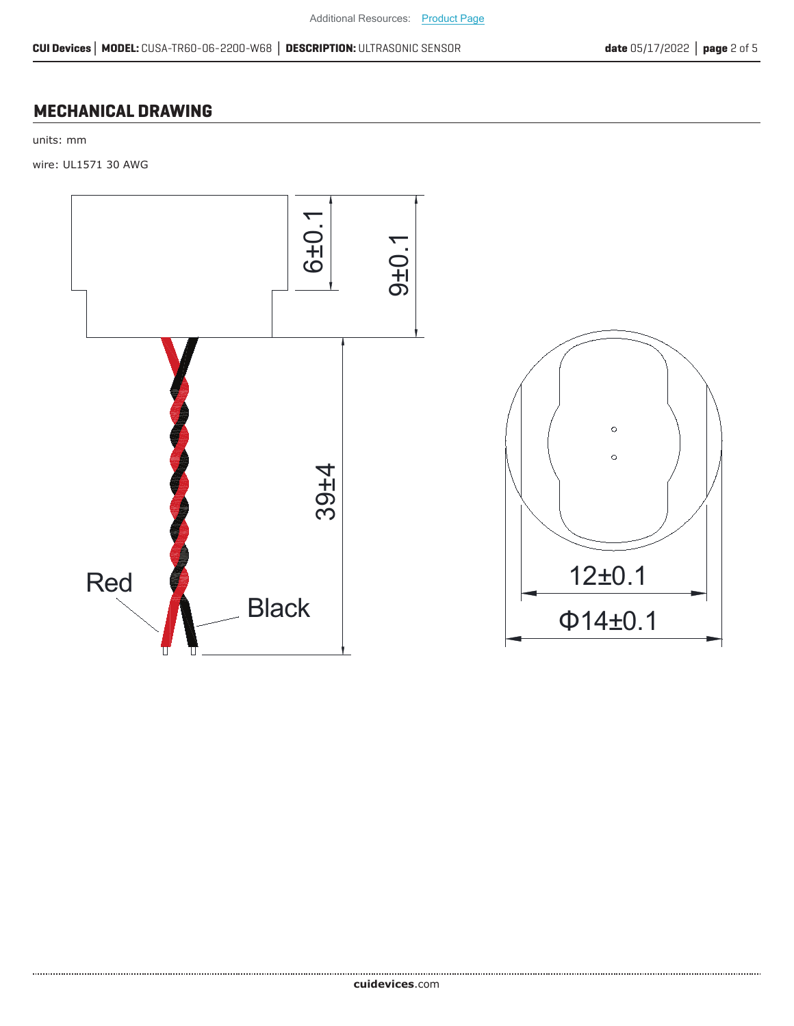#### **MECHANICAL DRAWING**

units: mm

wire: UL1571 30 AWG

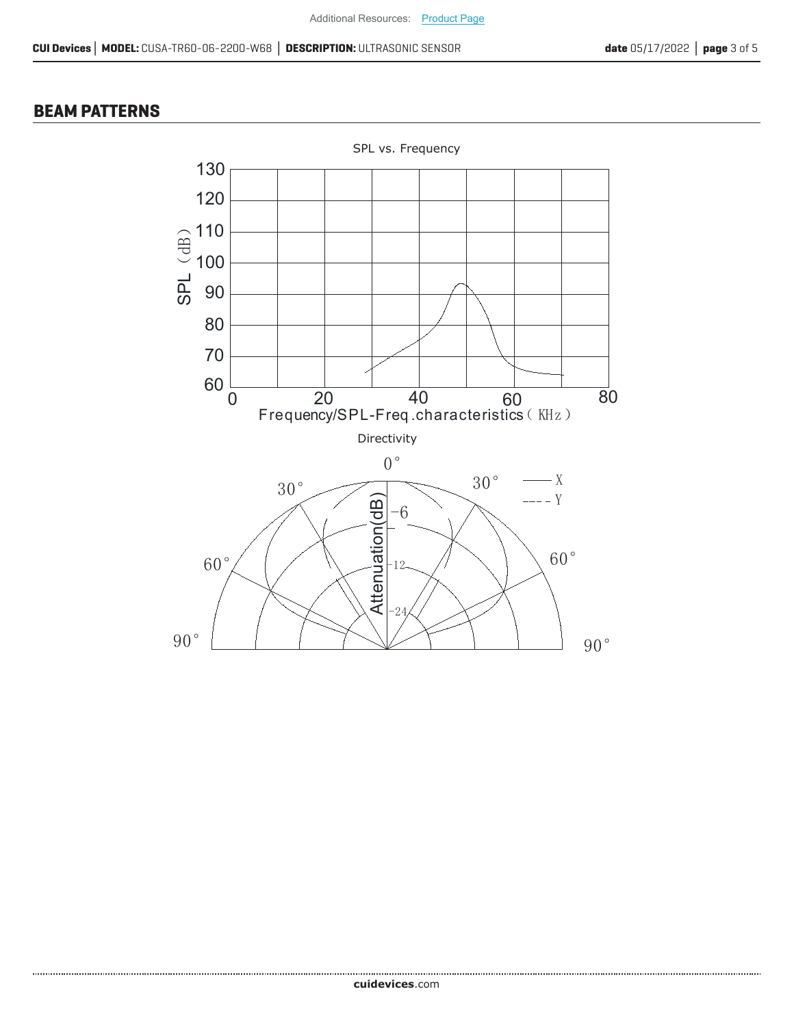#### **BEAM PATTERNS**

......................

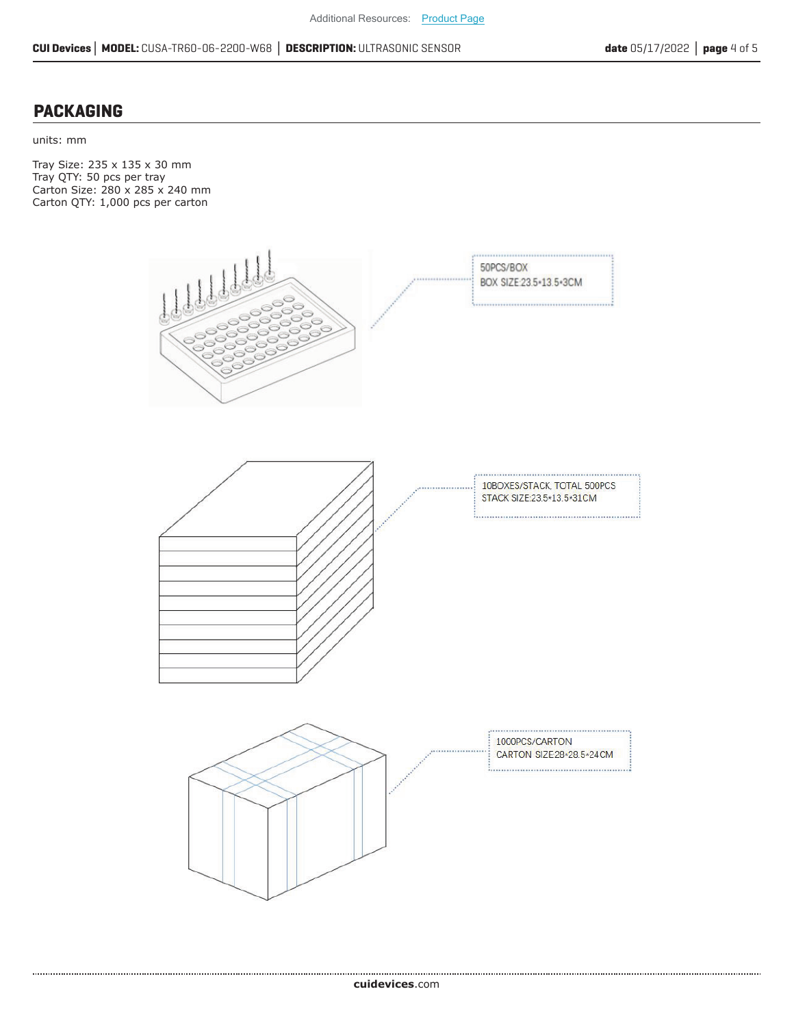#### **PACKAGING**

units: mm

Tray Size: 235 x 135 x 30 mm Tray QTY: 50 pcs per tray Carton Size: 280 x 285 x 240 mm Carton QTY: 1,000 pcs per carton